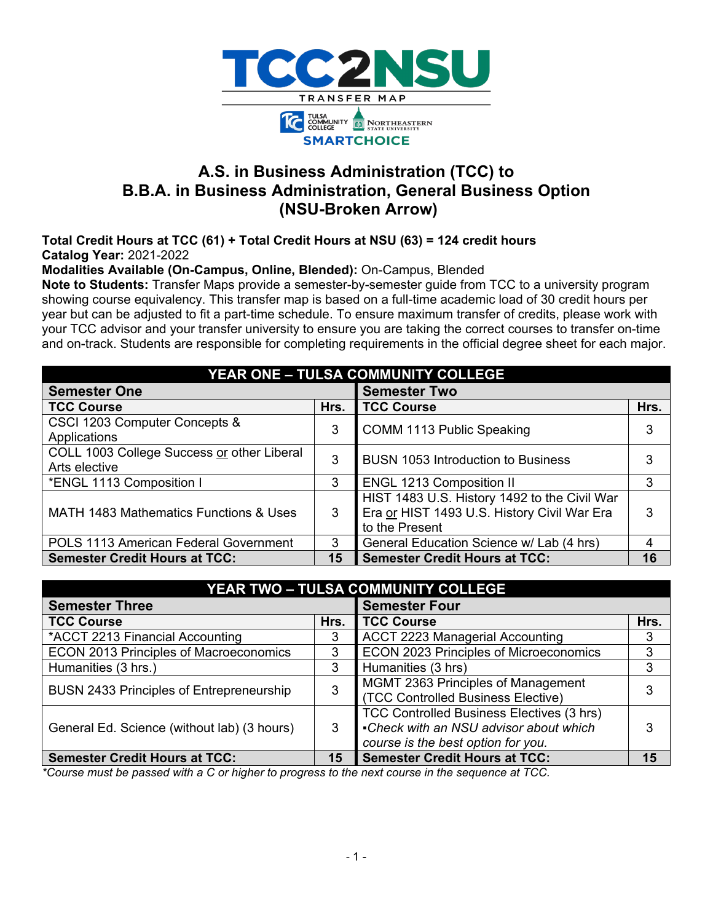

# **A.S. in Business Administration (TCC) to B.B.A. in Business Administration, General Business Option (NSU-Broken Arrow)**

**Total Credit Hours at TCC (61) + Total Credit Hours at NSU (63) = 124 credit hours Catalog Year:** 2021-2022

**Modalities Available (On-Campus, Online, Blended):** On-Campus, Blended

**Note to Students:** Transfer Maps provide a semester-by-semester guide from TCC to a university program showing course equivalency. This transfer map is based on a full-time academic load of 30 credit hours per year but can be adjusted to fit a part-time schedule. To ensure maximum transfer of credits, please work with your TCC advisor and your transfer university to ensure you are taking the correct courses to transfer on-time and on-track. Students are responsible for completing requirements in the official degree sheet for each major.

| YEAR ONE - TULSA COMMUNITY COLLEGE                          |      |                                                                                                               |      |  |  |  |
|-------------------------------------------------------------|------|---------------------------------------------------------------------------------------------------------------|------|--|--|--|
| <b>Semester One</b>                                         |      | <b>Semester Two</b>                                                                                           |      |  |  |  |
| <b>TCC Course</b>                                           | Hrs. | <b>TCC Course</b>                                                                                             | Hrs. |  |  |  |
| CSCI 1203 Computer Concepts &                               | 3    | COMM 1113 Public Speaking                                                                                     | 3    |  |  |  |
| Applications                                                |      |                                                                                                               |      |  |  |  |
| COLL 1003 College Success or other Liberal<br>Arts elective | 3    | <b>BUSN 1053 Introduction to Business</b>                                                                     | 3    |  |  |  |
| *ENGL 1113 Composition I                                    | 3    | <b>ENGL 1213 Composition II</b>                                                                               | 3    |  |  |  |
| MATH 1483 Mathematics Functions & Uses                      | 3    | HIST 1483 U.S. History 1492 to the Civil War<br>Era or HIST 1493 U.S. History Civil War Era<br>to the Present | 3    |  |  |  |
| POLS 1113 American Federal Government                       | 3    | General Education Science w/ Lab (4 hrs)                                                                      | 4    |  |  |  |
| <b>Semester Credit Hours at TCC:</b>                        | 15   | <b>Semester Credit Hours at TCC:</b>                                                                          | 16   |  |  |  |

| YEAR TWO - TULSA COMMUNITY COLLEGE              |      |                                           |      |  |  |  |
|-------------------------------------------------|------|-------------------------------------------|------|--|--|--|
| <b>Semester Three</b>                           |      | <b>Semester Four</b>                      |      |  |  |  |
| <b>TCC Course</b>                               | Hrs. | <b>TCC Course</b>                         | Hrs. |  |  |  |
| *ACCT 2213 Financial Accounting                 | 3    | <b>ACCT 2223 Managerial Accounting</b>    | 3    |  |  |  |
| <b>ECON 2013 Principles of Macroeconomics</b>   | 3    | ECON 2023 Principles of Microeconomics    | 3    |  |  |  |
| Humanities (3 hrs.)                             | 3    | Humanities (3 hrs)                        | 3    |  |  |  |
| <b>BUSN 2433 Principles of Entrepreneurship</b> | 3    | MGMT 2363 Principles of Management        | 3    |  |  |  |
|                                                 |      | (TCC Controlled Business Elective)        |      |  |  |  |
| General Ed. Science (without lab) (3 hours)     | 3    | TCC Controlled Business Electives (3 hrs) |      |  |  |  |
|                                                 |      | -Check with an NSU advisor about which    | 3    |  |  |  |
|                                                 |      | course is the best option for you.        |      |  |  |  |
| <b>Semester Credit Hours at TCC:</b>            | 15   | <b>Semester Credit Hours at TCC:</b>      | 15   |  |  |  |

*\*Course must be passed with a C or higher to progress to the next course in the sequence at TCC.*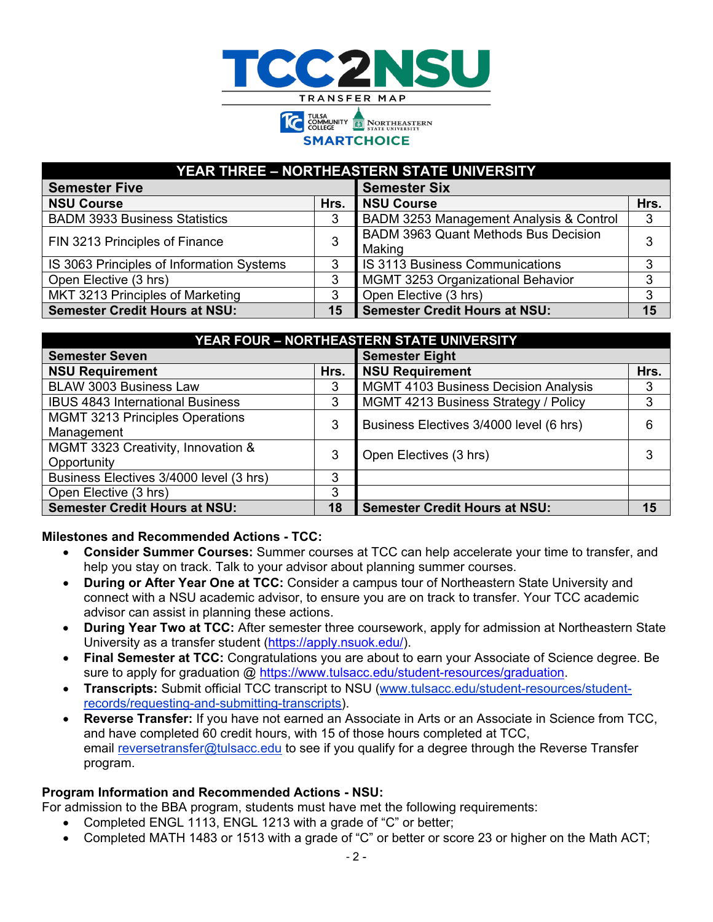

**SMARTCHOICE** 

| <b>YEAR THREE - NORTHEASTERN STATE UNIVERSITY</b> |      |                                             |      |  |  |  |  |
|---------------------------------------------------|------|---------------------------------------------|------|--|--|--|--|
| <b>Semester Five</b>                              |      | <b>Semester Six</b>                         |      |  |  |  |  |
| <b>NSU Course</b>                                 | Hrs. | <b>NSU Course</b>                           | Hrs. |  |  |  |  |
| <b>BADM 3933 Business Statistics</b>              | 3    | BADM 3253 Management Analysis & Control     | 3    |  |  |  |  |
| FIN 3213 Principles of Finance                    | 3    | <b>BADM 3963 Quant Methods Bus Decision</b> |      |  |  |  |  |
|                                                   |      | Making                                      |      |  |  |  |  |
| IS 3063 Principles of Information Systems         | 3    | IS 3113 Business Communications             |      |  |  |  |  |
| Open Elective (3 hrs)                             | 3    | MGMT 3253 Organizational Behavior           | 3    |  |  |  |  |
| MKT 3213 Principles of Marketing                  | 3    | Open Elective (3 hrs)                       | 3    |  |  |  |  |
| <b>Semester Credit Hours at NSU:</b>              | 15   | <b>Semester Credit Hours at NSU:</b>        | 15   |  |  |  |  |

| YEAR FOUR - NORTHEASTERN STATE UNIVERSITY |      |                                             |      |  |  |  |
|-------------------------------------------|------|---------------------------------------------|------|--|--|--|
| <b>Semester Seven</b>                     |      | <b>Semester Eight</b>                       |      |  |  |  |
| <b>NSU Requirement</b>                    | Hrs. | <b>NSU Requirement</b>                      | Hrs. |  |  |  |
| <b>BLAW 3003 Business Law</b>             | 3    | <b>MGMT 4103 Business Decision Analysis</b> | 3    |  |  |  |
| <b>IBUS 4843 International Business</b>   | 3    | MGMT 4213 Business Strategy / Policy        | 3    |  |  |  |
| <b>MGMT 3213 Principles Operations</b>    | 3    | Business Electives 3/4000 level (6 hrs)     | 6    |  |  |  |
| Management                                |      |                                             |      |  |  |  |
| MGMT 3323 Creativity, Innovation &        | 3    | Open Electives (3 hrs)                      | 3    |  |  |  |
| Opportunity                               |      |                                             |      |  |  |  |
| Business Electives 3/4000 level (3 hrs)   | 3    |                                             |      |  |  |  |
| Open Elective (3 hrs)                     | 3    |                                             |      |  |  |  |
| <b>Semester Credit Hours at NSU:</b>      | 18   | <b>Semester Credit Hours at NSU:</b>        | 15   |  |  |  |

#### **Milestones and Recommended Actions - TCC:**

- **Consider Summer Courses:** Summer courses at TCC can help accelerate your time to transfer, and help you stay on track. Talk to your advisor about planning summer courses.
- **During or After Year One at TCC:** Consider a campus tour of Northeastern State University and connect with a NSU academic advisor, to ensure you are on track to transfer. Your TCC academic advisor can assist in planning these actions.
- **During Year Two at TCC:** After semester three coursework, apply for admission at Northeastern State University as a transfer student [\(https://apply.nsuok.edu/\)](https://apply.nsuok.edu/).
- **Final Semester at TCC:** Congratulations you are about to earn your Associate of Science degree. Be sure to apply for graduation @ [https://www.tulsacc.edu/student-resources/graduation.](https://www.tulsacc.edu/student-resources/graduation)
- **Transcripts:** Submit official TCC transcript to NSU [\(www.tulsacc.edu/student-resources/student](https://nam02.safelinks.protection.outlook.com/?url=https%3A%2F%2Fwww.tulsacc.edu%2Fstudent-resources%2Fstudent-records%2Frequesting-and-submitting-transcripts&data=02%7C01%7Cemily.tichenor%40tulsacc.edu%7C5598c6763639477e236c08d85f0839bf%7Ceb5d9dc493c645578c2390ef7fa05b96%7C0%7C0%7C637363836231035674&sdata=5lmaWMnEEDKUqbMnQK%2Br2W27bnwkjhyXpRtV%2Fy6ySco%3D&reserved=0)[records/requesting-and-submitting-transcripts\)](https://nam02.safelinks.protection.outlook.com/?url=https%3A%2F%2Fwww.tulsacc.edu%2Fstudent-resources%2Fstudent-records%2Frequesting-and-submitting-transcripts&data=02%7C01%7Cemily.tichenor%40tulsacc.edu%7C5598c6763639477e236c08d85f0839bf%7Ceb5d9dc493c645578c2390ef7fa05b96%7C0%7C0%7C637363836231035674&sdata=5lmaWMnEEDKUqbMnQK%2Br2W27bnwkjhyXpRtV%2Fy6ySco%3D&reserved=0).
- **Reverse Transfer:** If you have not earned an Associate in Arts or an Associate in Science from TCC, and have completed 60 credit hours, with 15 of those hours completed at TCC, email [reversetransfer@tulsacc.edu](mailto:reversetransfer@tulsacc.edu) to see if you qualify for a degree through the Reverse Transfer program.

#### **Program Information and Recommended Actions - NSU:**

For admission to the BBA program, students must have met the following requirements:

- Completed ENGL 1113, ENGL 1213 with a grade of "C" or better;
- Completed MATH 1483 or 1513 with a grade of "C" or better or score 23 or higher on the Math ACT;